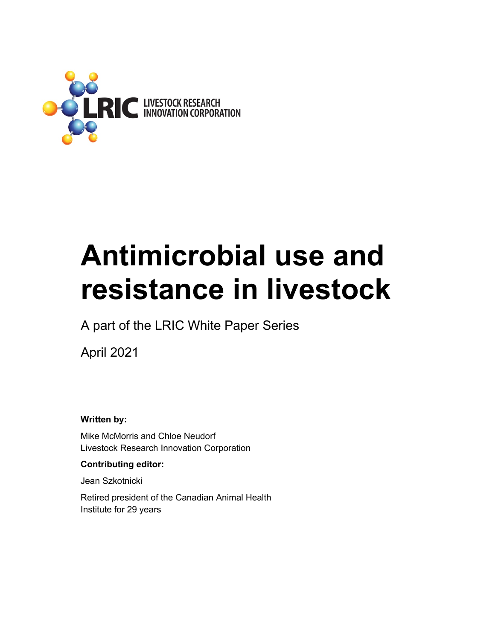

# **Antimicrobial use and resistance in livestock**

A part of the LRIC White Paper Series

April 2021

**Written by:** 

Mike McMorris and Chloe Neudorf Livestock Research Innovation Corporation

#### **Contributing editor:**

Jean Szkotnicki

Retired president of the Canadian Animal Health Institute for 29 years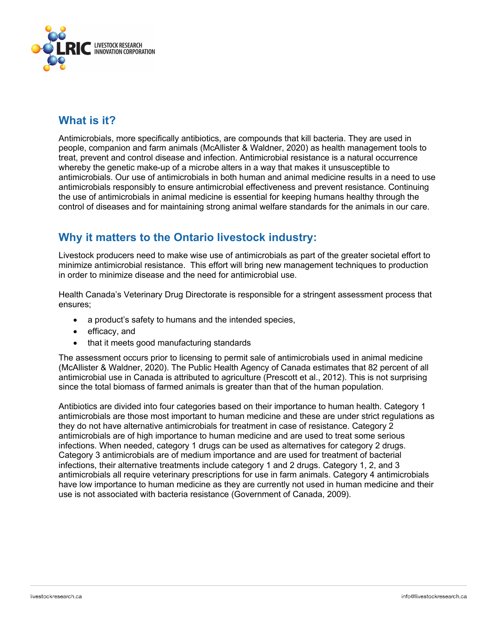

### **What is it?**

Antimicrobials, more specifically antibiotics, are compounds that kill bacteria. They are used in people, companion and farm animals (McAllister & Waldner, 2020) as health management tools to treat, prevent and control disease and infection. Antimicrobial resistance is a natural occurrence whereby the genetic make-up of a microbe alters in a way that makes it unsusceptible to antimicrobials. Our use of antimicrobials in both human and animal medicine results in a need to use antimicrobials responsibly to ensure antimicrobial effectiveness and prevent resistance. Continuing the use of antimicrobials in animal medicine is essential for keeping humans healthy through the control of diseases and for maintaining strong animal welfare standards for the animals in our care.

# **Why it matters to the Ontario livestock industry:**

Livestock producers need to make wise use of antimicrobials as part of the greater societal effort to minimize antimicrobial resistance. This effort will bring new management techniques to production in order to minimize disease and the need for antimicrobial use.

Health Canada's Veterinary Drug Directorate is responsible for a stringent assessment process that ensures;

- a product's safety to humans and the intended species,
- efficacy, and
- that it meets good manufacturing standards

The assessment occurs prior to licensing to permit sale of antimicrobials used in animal medicine (McAllister & Waldner, 2020). The Public Health Agency of Canada estimates that 82 percent of all antimicrobial use in Canada is attributed to agriculture (Prescott et al., 2012). This is not surprising since the total biomass of farmed animals is greater than that of the human population.

Antibiotics are divided into four categories based on their importance to human health. Category 1 antimicrobials are those most important to human medicine and these are under strict regulations as they do not have alternative antimicrobials for treatment in case of resistance. Category 2 antimicrobials are of high importance to human medicine and are used to treat some serious infections. When needed, category 1 drugs can be used as alternatives for category 2 drugs. Category 3 antimicrobials are of medium importance and are used for treatment of bacterial infections, their alternative treatments include category 1 and 2 drugs. Category 1, 2, and 3 antimicrobials all require veterinary prescriptions for use in farm animals. Category 4 antimicrobials have low importance to human medicine as they are currently not used in human medicine and their use is not associated with bacteria resistance (Government of Canada, 2009).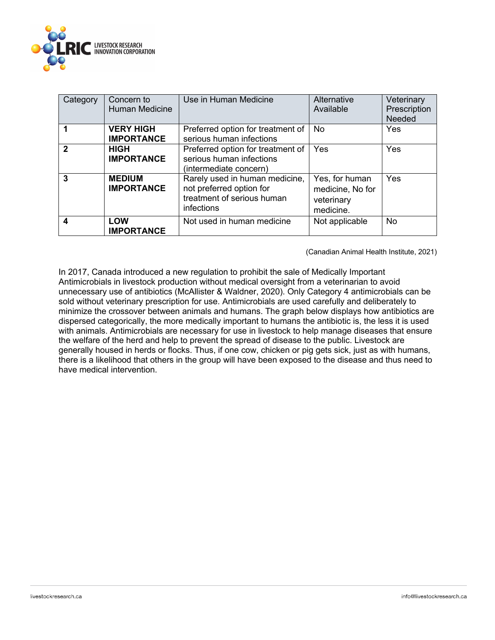

| Category         | Concern to<br><b>Human Medicine</b>   | Use in Human Medicine                                                                                  | Alternative<br>Available                                      | Veterinary<br>Prescription<br>Needed |
|------------------|---------------------------------------|--------------------------------------------------------------------------------------------------------|---------------------------------------------------------------|--------------------------------------|
|                  | <b>VERY HIGH</b><br><b>IMPORTANCE</b> | Preferred option for treatment of<br>serious human infections                                          | No.                                                           | Yes                                  |
| $\overline{2}$   | <b>HIGH</b><br><b>IMPORTANCE</b>      | Preferred option for treatment of<br>serious human infections<br>(intermediate concern)                | Yes                                                           | Yes                                  |
| 3                | <b>MEDIUM</b><br><b>IMPORTANCE</b>    | Rarely used in human medicine,<br>not preferred option for<br>treatment of serious human<br>infections | Yes, for human<br>medicine, No for<br>veterinary<br>medicine. | Yes                                  |
| $\boldsymbol{4}$ | <b>LOW</b><br><b>IMPORTANCE</b>       | Not used in human medicine                                                                             | Not applicable                                                | <b>No</b>                            |

(Canadian Animal Health Institute, 2021)

In 2017, Canada introduced a new regulation to prohibit the sale of Medically Important Antimicrobials in livestock production without medical oversight from a veterinarian to avoid unnecessary use of antibiotics (McAllister & Waldner, 2020). Only Category 4 antimicrobials can be sold without veterinary prescription for use. Antimicrobials are used carefully and deliberately to minimize the crossover between animals and humans. The graph below displays how antibiotics are dispersed categorically, the more medically important to humans the antibiotic is, the less it is used with animals. Antimicrobials are necessary for use in livestock to help manage diseases that ensure the welfare of the herd and help to prevent the spread of disease to the public. Livestock are generally housed in herds or flocks. Thus, if one cow, chicken or pig gets sick, just as with humans, there is a likelihood that others in the group will have been exposed to the disease and thus need to have medical intervention.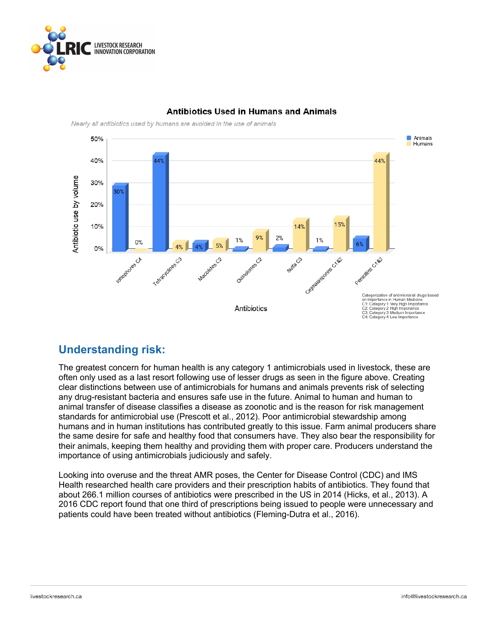

#### Animals 50% Humans 40% 44% Antibiotic use by volume 30% 30% 20% 10%  $0%$  $0%$ Ceptalesportes Cre2 Tetracyclines.C3 Macgillages C2 Pentalline Creek Sulta<sup>C3</sup> c Ionophores Categorization of antimicrobial drugs based Case of International and International and<br>C1: Category 1 Very High Importance<br>C2: Category 2 High Importance<br>C3: Category 2 Medium Importance<br>C4: Category 4 Low Importance Antibiotics

**Antibiotics Used in Humans and Animals** 

Nearly all antibiotics used by humans are avoided in the use of animals

# **Understanding risk:**

The greatest concern for human health is any category 1 antimicrobials used in livestock, these are often only used as a last resort following use of lesser drugs as seen in the figure above. Creating clear distinctions between use of antimicrobials for humans and animals prevents risk of selecting any drug-resistant bacteria and ensures safe use in the future. Animal to human and human to animal transfer of disease classifies a disease as zoonotic and is the reason for risk management standards for antimicrobial use (Prescott et al., 2012). Poor antimicrobial stewardship among humans and in human institutions has contributed greatly to this issue. Farm animal producers share the same desire for safe and healthy food that consumers have. They also bear the responsibility for their animals, keeping them healthy and providing them with proper care. Producers understand the importance of using antimicrobials judiciously and safely.

Looking into overuse and the threat AMR poses, the Center for Disease Control (CDC) and IMS Health researched health care providers and their prescription habits of antibiotics. They found that about 266.1 million courses of antibiotics were prescribed in the US in 2014 (Hicks, et al., 2013). A 2016 CDC report found that one third of prescriptions being issued to people were unnecessary and patients could have been treated without antibiotics (Fleming-Dutra et al., 2016).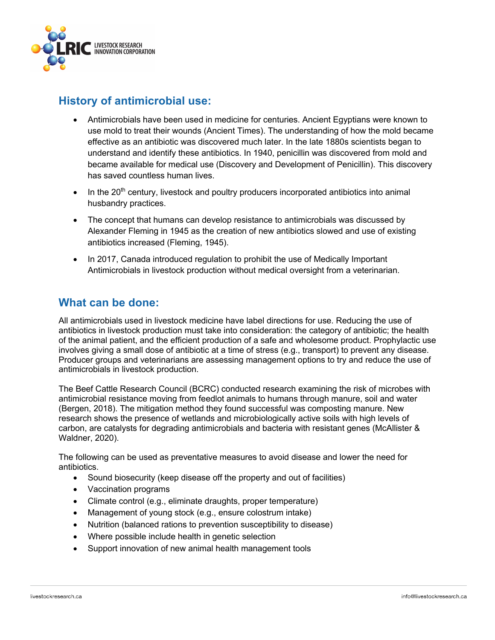

## **History of antimicrobial use:**

- Antimicrobials have been used in medicine for centuries. Ancient Egyptians were known to use mold to treat their wounds (Ancient Times). The understanding of how the mold became effective as an antibiotic was discovered much later. In the late 1880s scientists began to understand and identify these antibiotics. In 1940, penicillin was discovered from mold and became available for medical use (Discovery and Development of Penicillin). This discovery has saved countless human lives.
- $\bullet$  In the 20<sup>th</sup> century, livestock and poultry producers incorporated antibiotics into animal husbandry practices.
- The concept that humans can develop resistance to antimicrobials was discussed by Alexander Fleming in 1945 as the creation of new antibiotics slowed and use of existing antibiotics increased (Fleming, 1945).
- In 2017, Canada introduced regulation to prohibit the use of Medically Important Antimicrobials in livestock production without medical oversight from a veterinarian.

#### **What can be done:**

All antimicrobials used in livestock medicine have label directions for use. Reducing the use of antibiotics in livestock production must take into consideration: the category of antibiotic; the health of the animal patient, and the efficient production of a safe and wholesome product. Prophylactic use involves giving a small dose of antibiotic at a time of stress (e.g., transport) to prevent any disease. Producer groups and veterinarians are assessing management options to try and reduce the use of antimicrobials in livestock production.

The Beef Cattle Research Council (BCRC) conducted research examining the risk of microbes with antimicrobial resistance moving from feedlot animals to humans through manure, soil and water (Bergen, 2018). The mitigation method they found successful was composting manure. New research shows the presence of wetlands and microbiologically active soils with high levels of carbon, are catalysts for degrading antimicrobials and bacteria with resistant genes (McAllister & Waldner, 2020).

The following can be used as preventative measures to avoid disease and lower the need for antibiotics.

- Sound biosecurity (keep disease off the property and out of facilities)
- Vaccination programs
- Climate control (e.g., eliminate draughts, proper temperature)
- Management of young stock (e.g., ensure colostrum intake)
- Nutrition (balanced rations to prevention susceptibility to disease)
- Where possible include health in genetic selection
- Support innovation of new animal health management tools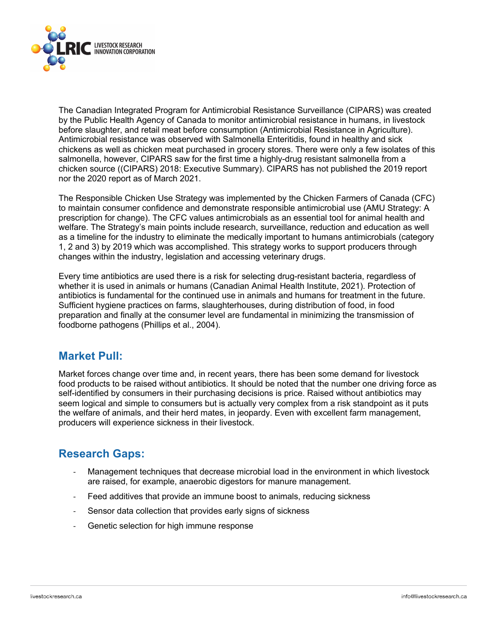

The Canadian Integrated Program for Antimicrobial Resistance Surveillance (CIPARS) was created by the Public Health Agency of Canada to monitor antimicrobial resistance in humans, in livestock before slaughter, and retail meat before consumption (Antimicrobial Resistance in Agriculture). Antimicrobial resistance was observed with Salmonella Enteritidis, found in healthy and sick chickens as well as chicken meat purchased in grocery stores. There were only a few isolates of this salmonella, however, CIPARS saw for the first time a highly-drug resistant salmonella from a chicken source ((CIPARS) 2018: Executive Summary). CIPARS has not published the 2019 report nor the 2020 report as of March 2021.

The Responsible Chicken Use Strategy was implemented by the Chicken Farmers of Canada (CFC) to maintain consumer confidence and demonstrate responsible antimicrobial use (AMU Strategy: A prescription for change). The CFC values antimicrobials as an essential tool for animal health and welfare. The Strategy's main points include research, surveillance, reduction and education as well as a timeline for the industry to eliminate the medically important to humans antimicrobials (category 1, 2 and 3) by 2019 which was accomplished. This strategy works to support producers through changes within the industry, legislation and accessing veterinary drugs.

Every time antibiotics are used there is a risk for selecting drug-resistant bacteria, regardless of whether it is used in animals or humans (Canadian Animal Health Institute, 2021). Protection of antibiotics is fundamental for the continued use in animals and humans for treatment in the future. Sufficient hygiene practices on farms, slaughterhouses, during distribution of food, in food preparation and finally at the consumer level are fundamental in minimizing the transmission of foodborne pathogens (Phillips et al., 2004).

#### **Market Pull:**

Market forces change over time and, in recent years, there has been some demand for livestock food products to be raised without antibiotics. It should be noted that the number one driving force as self-identified by consumers in their purchasing decisions is price. Raised without antibiotics may seem logical and simple to consumers but is actually very complex from a risk standpoint as it puts the welfare of animals, and their herd mates, in jeopardy. Even with excellent farm management, producers will experience sickness in their livestock.

# **Research Gaps:**

- Management techniques that decrease microbial load in the environment in which livestock are raised, for example, anaerobic digestors for manure management.
- Feed additives that provide an immune boost to animals, reducing sickness
- Sensor data collection that provides early signs of sickness
- Genetic selection for high immune response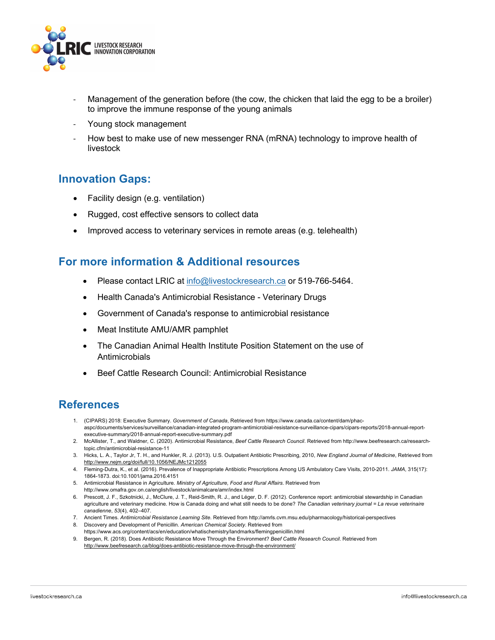

- Management of the generation before (the cow, the chicken that laid the egg to be a broiler) to improve the immune response of the young animals
- Young stock management
- How best to make use of new messenger RNA (mRNA) technology to improve health of livestock

#### **Innovation Gaps:**

- Facility design (e.g. ventilation)
- Rugged, cost effective sensors to collect data
- Improved access to veterinary services in remote areas (e.g. telehealth)

#### **For more information & Additional resources**

- Please contact LRIC at info@livestockresearch.ca or 519-766-5464.
- Health Canada's Antimicrobial Resistance Veterinary Drugs
- Government of Canada's response to antimicrobial resistance
- Meat Institute AMU/AMR pamphlet
- The Canadian Animal Health Institute Position Statement on the use of **Antimicrobials**
- Beef Cattle Research Council: Antimicrobial Resistance

#### **References**

- 1. (CIPARS) 2018: Executive Summary. *Government of Canada*, Retrieved from https://www.canada.ca/content/dam/phacaspc/documents/services/surveillance/canadian-integrated-program-antimicrobial-resistance-surveillance-cipars/cipars-reports/2018-annual-reportexecutive-summary/2018-annual-report-executive-summary.pdf
- 2. McAllister, T., and Waldner, C. (2020). Antimicrobial Resistance, *Beef Cattle Research Council*. Retrieved from http://www.beefresearch.ca/researchtopic.cfm/antimicrobial-resistance-11
- 3. Hicks, L. A., Taylor Jr, T. H., and Hunkler, R. J. (2013). U.S. Outpatient Antibiotic Prescribing, 2010, *New England Journal of Medicine*, Retrieved from http://www.nejm.org/doi/full/10.1056/NEJMc1212055
- 4. Fleming-Dutra, K., et al. (2016). Prevalence of Inappropriate Antibiotic Prescriptions Among US Ambulatory Care Visits, 2010-2011. *JAMA*, 315(17): 1864-1873. doi:10.1001/jama.2016.4151
- 5. Antimicrobial Resistance in Agriculture. *Ministry of Agriculture, Food and Rural Affairs*. Retrieved from http://www.omafra.gov.on.ca/english/livestock/animalcare/amr/index.html
- 6. Prescott, J. F., Szkotnicki, J., McClure, J. T., Reid-Smith, R. J., and Léger, D. F. (2012). Conference report: antimicrobial stewardship in Canadian agriculture and veterinary medicine. How is Canada doing and what still needs to be done? *The Canadian veterinary journal = La revue veterinaire canadienne*, *53*(4), 402–407.
- 7. Ancient Times. *Antimicrobial Resistance Learning Site*. Retrieved from http://amrls.cvm.msu.edu/pharmacology/historical-perspectives
- 8. Discovery and Development of Penicillin. *American Chemical Society*. Retrieved from https://www.acs.org/content/acs/en/education/whatischemistry/landmarks/flemingpenicillin.html
- 9. Bergen, R. (2018). Does Antibiotic Resistance Move Through the Environment? *Beef Cattle Research Council*. Retrieved from http://www.beefresearch.ca/blog/does-antibiotic-resistance-move-through-the-environment/